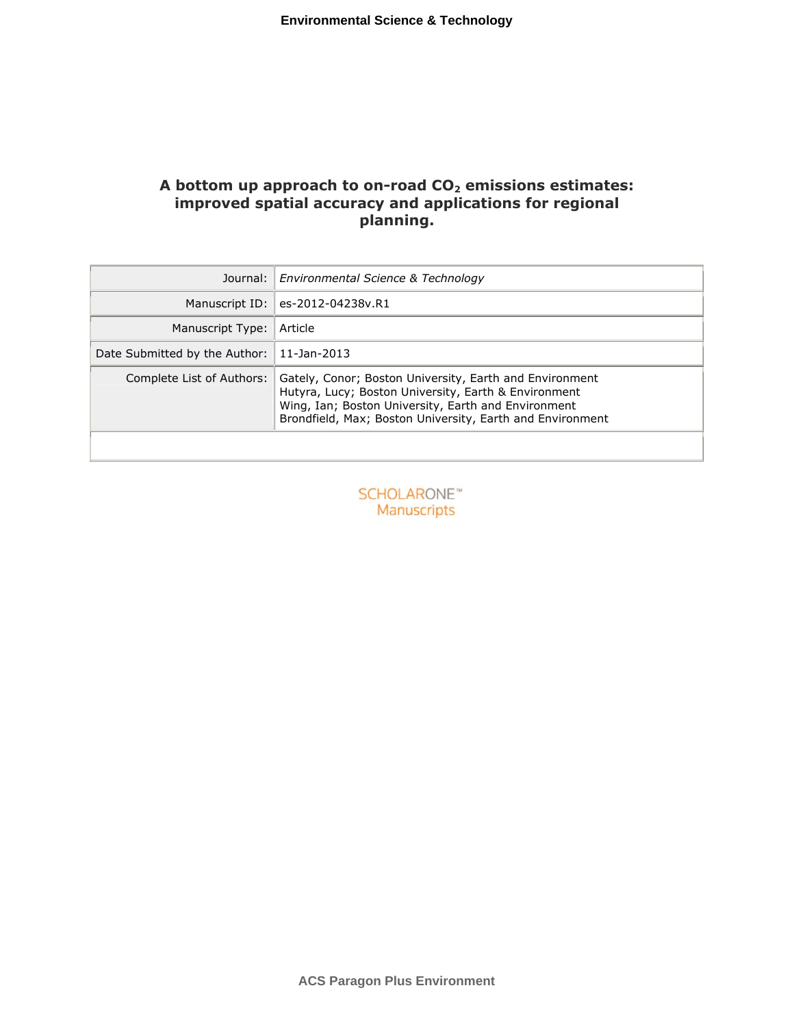## **A bottom up approach to on-road CO<sup>2</sup> emissions estimates: improved spatial accuracy and applications for regional planning.**

| Journal:                      | Environmental Science & Technology                                                                                                                                                                                                  |
|-------------------------------|-------------------------------------------------------------------------------------------------------------------------------------------------------------------------------------------------------------------------------------|
| Manuscript ID:                | es-2012-04238v.R1                                                                                                                                                                                                                   |
| Manuscript Type:              | Article                                                                                                                                                                                                                             |
| Date Submitted by the Author: | 11-Jan-2013                                                                                                                                                                                                                         |
| Complete List of Authors:     | Gately, Conor; Boston University, Earth and Environment<br>Hutyra, Lucy; Boston University, Earth & Environment<br>Wing, Ian; Boston University, Earth and Environment<br>Brondfield, Max; Boston University, Earth and Environment |

**SCHOLARONE™** Manuscripts

**ACS Paragon Plus Environment**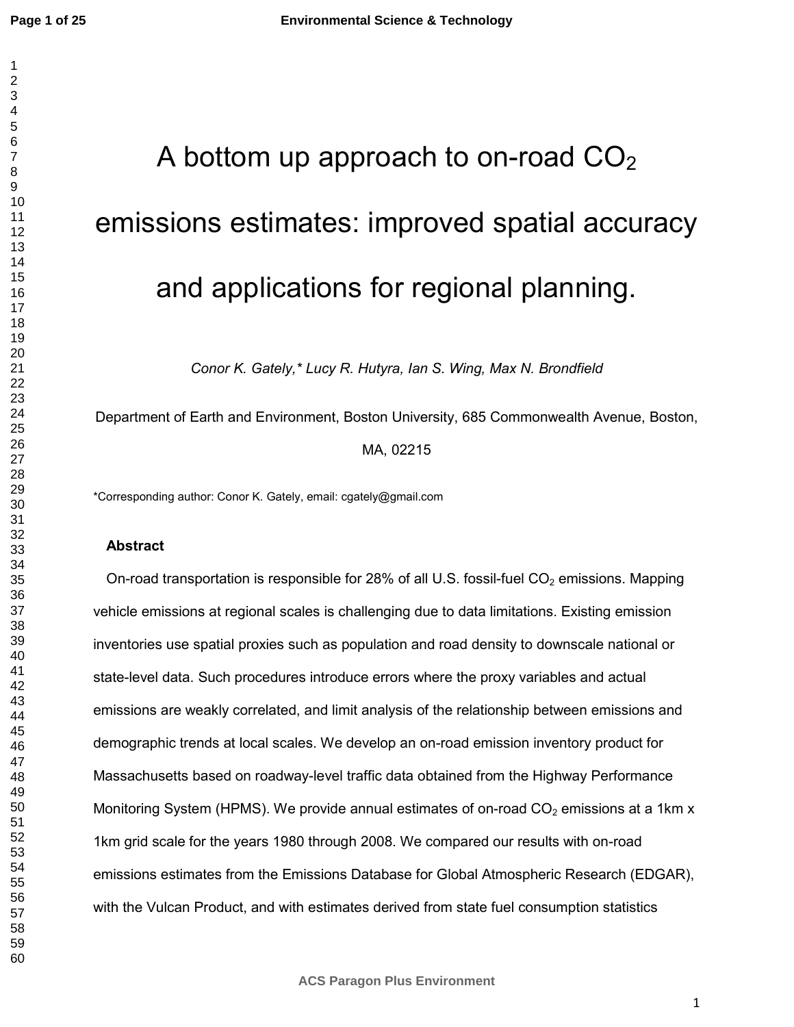# A bottom up approach to on-road  $CO<sub>2</sub>$ emissions estimates: improved spatial accuracy and applications for regional planning.

*Conor K. Gately,\* Lucy R. Hutyra, Ian S. Wing, Max N. Brondfield*

Department of Earth and Environment, Boston University, 685 Commonwealth Avenue, Boston, MA, 02215

\*Corresponding author: Conor K. Gately, email: cgately@gmail.com

## **Abstract**

On-road transportation is responsible for 28% of all U.S. fossil-fuel  $CO<sub>2</sub>$  emissions. Mapping vehicle emissions at regional scales is challenging due to data limitations. Existing emission inventories use spatial proxies such as population and road density to downscale national or state-level data. Such procedures introduce errors where the proxy variables and actual emissions are weakly correlated, and limit analysis of the relationship between emissions and demographic trends at local scales. We develop an on-road emission inventory product for Massachusetts based on roadway-level traffic data obtained from the Highway Performance Monitoring System (HPMS). We provide annual estimates of on-road  $CO<sub>2</sub>$  emissions at a 1km x 1km grid scale for the years 1980 through 2008. We compared our results with on-road emissions estimates from the Emissions Database for Global Atmospheric Research (EDGAR), with the Vulcan Product, and with estimates derived from state fuel consumption statistics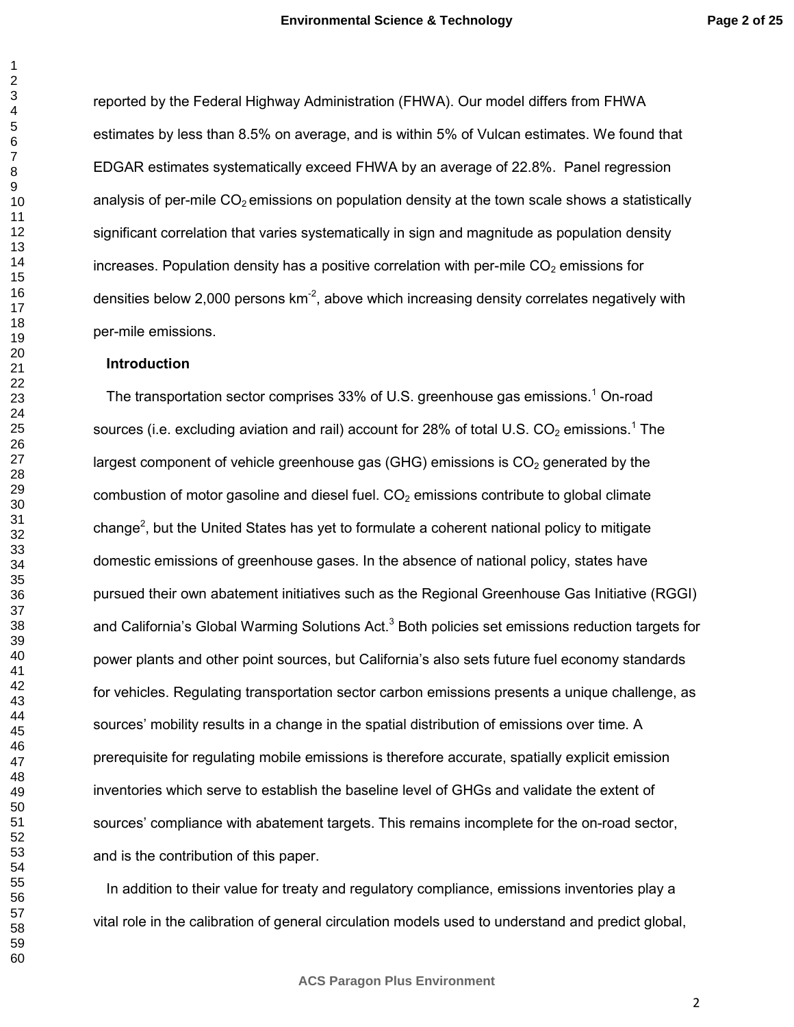reported by the Federal Highway Administration (FHWA). Our model differs from FHWA estimates by less than 8.5% on average, and is within 5% of Vulcan estimates. We found that EDGAR estimates systematically exceed FHWA by an average of 22.8%. Panel regression analysis of per-mile  $CO<sub>2</sub>$  emissions on population density at the town scale shows a statistically significant correlation that varies systematically in sign and magnitude as population density increases. Population density has a positive correlation with per-mile  $CO<sub>2</sub>$  emissions for densities below 2,000 persons  $km<sup>-2</sup>$ , above which increasing density correlates negatively with per-mile emissions.

## **Introduction**

The transportation sector comprises 33% of U.S. greenhouse gas emissions.<sup>1</sup> On-road sources (i.e. excluding aviation and rail) account for 28% of total U.S. CO<sub>2</sub> emissions.<sup>1</sup> The largest component of vehicle greenhouse gas (GHG) emissions is  $CO<sub>2</sub>$  generated by the combustion of motor gasoline and diesel fuel.  $CO<sub>2</sub>$  emissions contribute to global climate change<sup>2</sup>, but the United States has yet to formulate a coherent national policy to mitigate domestic emissions of greenhouse gases. In the absence of national policy, states have pursued their own abatement initiatives such as the Regional Greenhouse Gas Initiative (RGGI) and California's Global Warming Solutions Act.<sup>3</sup> Both policies set emissions reduction targets for power plants and other point sources, but California's also sets future fuel economy standards for vehicles. Regulating transportation sector carbon emissions presents a unique challenge, as sources' mobility results in a change in the spatial distribution of emissions over time. A prerequisite for regulating mobile emissions is therefore accurate, spatially explicit emission inventories which serve to establish the baseline level of GHGs and validate the extent of sources' compliance with abatement targets. This remains incomplete for the on-road sector, and is the contribution of this paper.

In addition to their value for treaty and regulatory compliance, emissions inventories play a vital role in the calibration of general circulation models used to understand and predict global,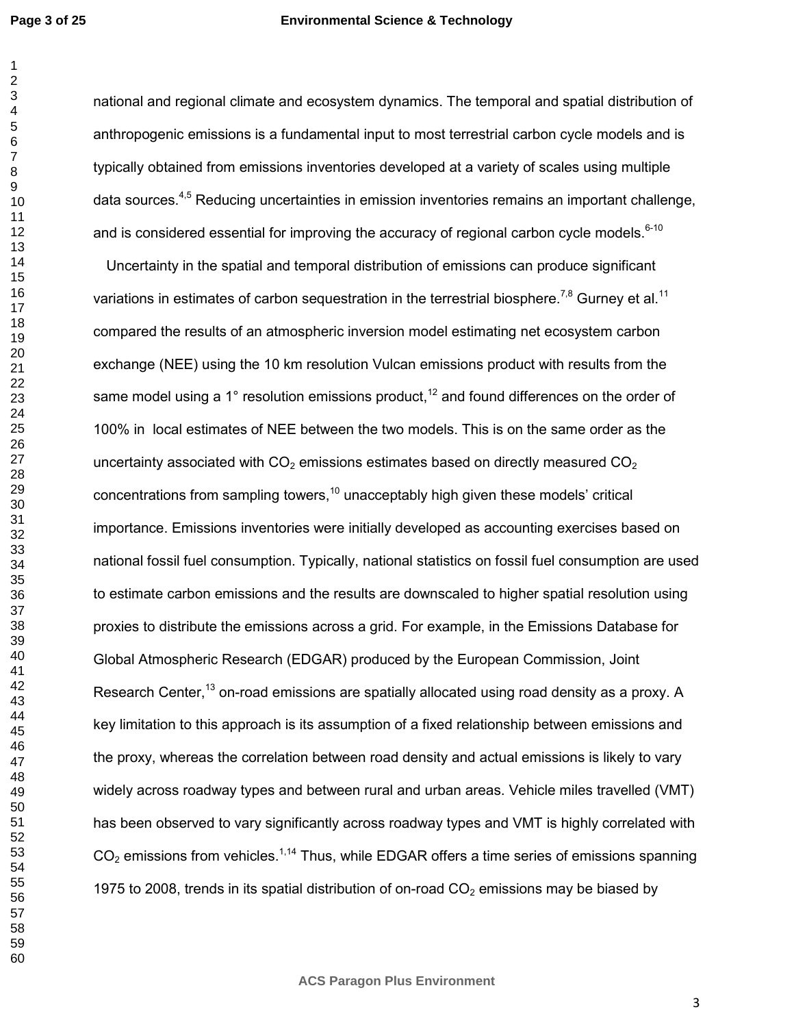#### **Environmental Science & Technology**

national and regional climate and ecosystem dynamics. The temporal and spatial distribution of anthropogenic emissions is a fundamental input to most terrestrial carbon cycle models and is typically obtained from emissions inventories developed at a variety of scales using multiple data sources.<sup>4,5</sup> Reducing uncertainties in emission inventories remains an important challenge, and is considered essential for improving the accuracy of regional carbon cycle models. $6-10$ 

Uncertainty in the spatial and temporal distribution of emissions can produce significant variations in estimates of carbon sequestration in the terrestrial biosphere.<sup>7,8</sup> Gurney et al.<sup>11</sup> compared the results of an atmospheric inversion model estimating net ecosystem carbon exchange (NEE) using the 10 km resolution Vulcan emissions product with results from the same model using a 1 $\degree$  resolution emissions product,<sup>12</sup> and found differences on the order of 100% in local estimates of NEE between the two models. This is on the same order as the uncertainty associated with  $CO<sub>2</sub>$  emissions estimates based on directly measured  $CO<sub>2</sub>$ concentrations from sampling towers, unacceptably high given these models' critical importance. Emissions inventories were initially developed as accounting exercises based on national fossil fuel consumption. Typically, national statistics on fossil fuel consumption are used to estimate carbon emissions and the results are downscaled to higher spatial resolution using proxies to distribute the emissions across a grid. For example, in the Emissions Database for Global Atmospheric Research (EDGAR) produced by the European Commission, Joint Research Center,<sup>13</sup> on-road emissions are spatially allocated using road density as a proxy. A key limitation to this approach is its assumption of a fixed relationship between emissions and the proxy, whereas the correlation between road density and actual emissions is likely to vary widely across roadway types and between rural and urban areas. Vehicle miles travelled (VMT) has been observed to vary significantly across roadway types and VMT is highly correlated with  $CO<sub>2</sub>$  emissions from vehicles.<sup>1,14</sup> Thus, while EDGAR offers a time series of emissions spanning 1975 to 2008, trends in its spatial distribution of on-road  $CO<sub>2</sub>$  emissions may be biased by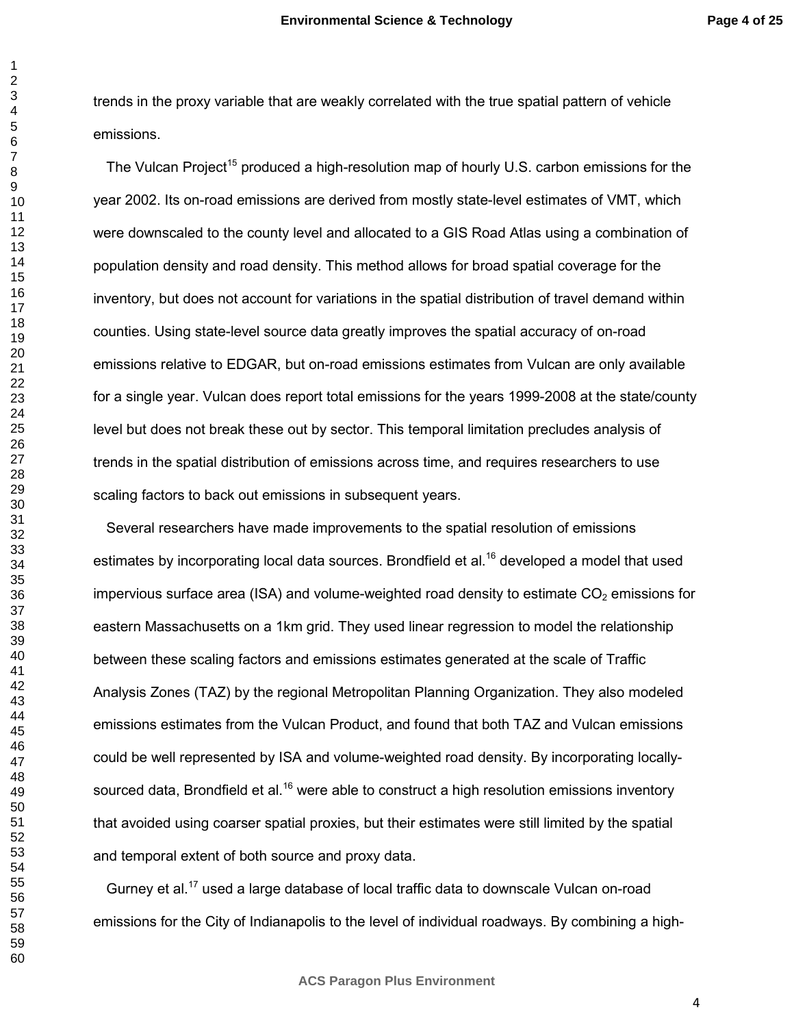trends in the proxy variable that are weakly correlated with the true spatial pattern of vehicle emissions.

The Vulcan Project<sup>15</sup> produced a high-resolution map of hourly U.S. carbon emissions for the year 2002. Its on-road emissions are derived from mostly state-level estimates of VMT, which were downscaled to the county level and allocated to a GIS Road Atlas using a combination of population density and road density. This method allows for broad spatial coverage for the inventory, but does not account for variations in the spatial distribution of travel demand within counties. Using state-level source data greatly improves the spatial accuracy of on-road emissions relative to EDGAR, but on-road emissions estimates from Vulcan are only available for a single year. Vulcan does report total emissions for the years 1999-2008 at the state/county level but does not break these out by sector. This temporal limitation precludes analysis of trends in the spatial distribution of emissions across time, and requires researchers to use scaling factors to back out emissions in subsequent years.

Several researchers have made improvements to the spatial resolution of emissions estimates by incorporating local data sources. Brondfield et al.<sup>16</sup> developed a model that used impervious surface area (ISA) and volume-weighted road density to estimate  $CO<sub>2</sub>$  emissions for eastern Massachusetts on a 1km grid. They used linear regression to model the relationship between these scaling factors and emissions estimates generated at the scale of Traffic Analysis Zones (TAZ) by the regional Metropolitan Planning Organization. They also modeled emissions estimates from the Vulcan Product, and found that both TAZ and Vulcan emissions could be well represented by ISA and volume-weighted road density. By incorporating locallysourced data, Brondfield et al.<sup>16</sup> were able to construct a high resolution emissions inventory that avoided using coarser spatial proxies, but their estimates were still limited by the spatial and temporal extent of both source and proxy data.

Gurney et al.<sup>17</sup> used a large database of local traffic data to downscale Vulcan on-road emissions for the City of Indianapolis to the level of individual roadways. By combining a high-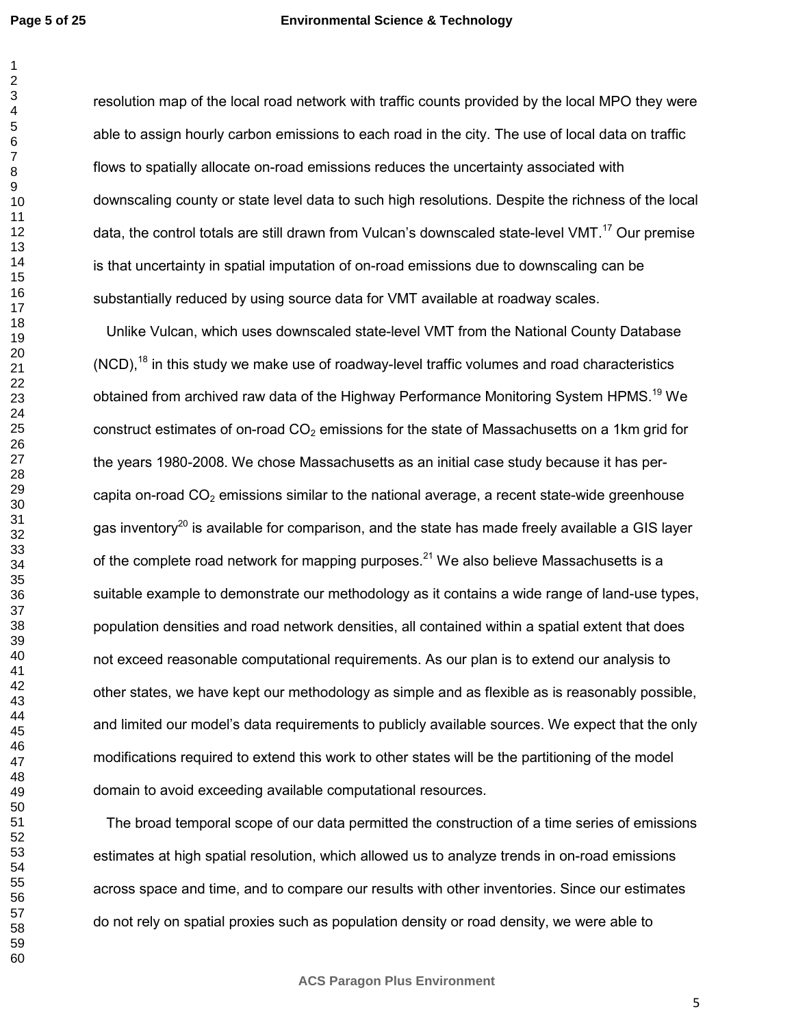#### **Environmental Science & Technology**

resolution map of the local road network with traffic counts provided by the local MPO they were able to assign hourly carbon emissions to each road in the city. The use of local data on traffic flows to spatially allocate on-road emissions reduces the uncertainty associated with downscaling county or state level data to such high resolutions. Despite the richness of the local data, the control totals are still drawn from Vulcan's downscaled state-level VMT.<sup>17</sup> Our premise is that uncertainty in spatial imputation of on-road emissions due to downscaling can be substantially reduced by using source data for VMT available at roadway scales.

Unlike Vulcan, which uses downscaled state-level VMT from the National County Database  $(NCD)$ ,<sup>18</sup> in this study we make use of roadway-level traffic volumes and road characteristics obtained from archived raw data of the Highway Performance Monitoring System HPMS.<sup>19</sup> We construct estimates of on-road  $CO<sub>2</sub>$  emissions for the state of Massachusetts on a 1km grid for the years 1980-2008. We chose Massachusetts as an initial case study because it has percapita on-road  $CO<sub>2</sub>$  emissions similar to the national average, a recent state-wide greenhouse gas inventory<sup>20</sup> is available for comparison, and the state has made freely available a GIS layer of the complete road network for mapping purposes.<sup>21</sup> We also believe Massachusetts is a suitable example to demonstrate our methodology as it contains a wide range of land-use types, population densities and road network densities, all contained within a spatial extent that does not exceed reasonable computational requirements. As our plan is to extend our analysis to other states, we have kept our methodology as simple and as flexible as is reasonably possible, and limited our model's data requirements to publicly available sources. We expect that the only modifications required to extend this work to other states will be the partitioning of the model domain to avoid exceeding available computational resources.

The broad temporal scope of our data permitted the construction of a time series of emissions estimates at high spatial resolution, which allowed us to analyze trends in on-road emissions across space and time, and to compare our results with other inventories. Since our estimates do not rely on spatial proxies such as population density or road density, we were able to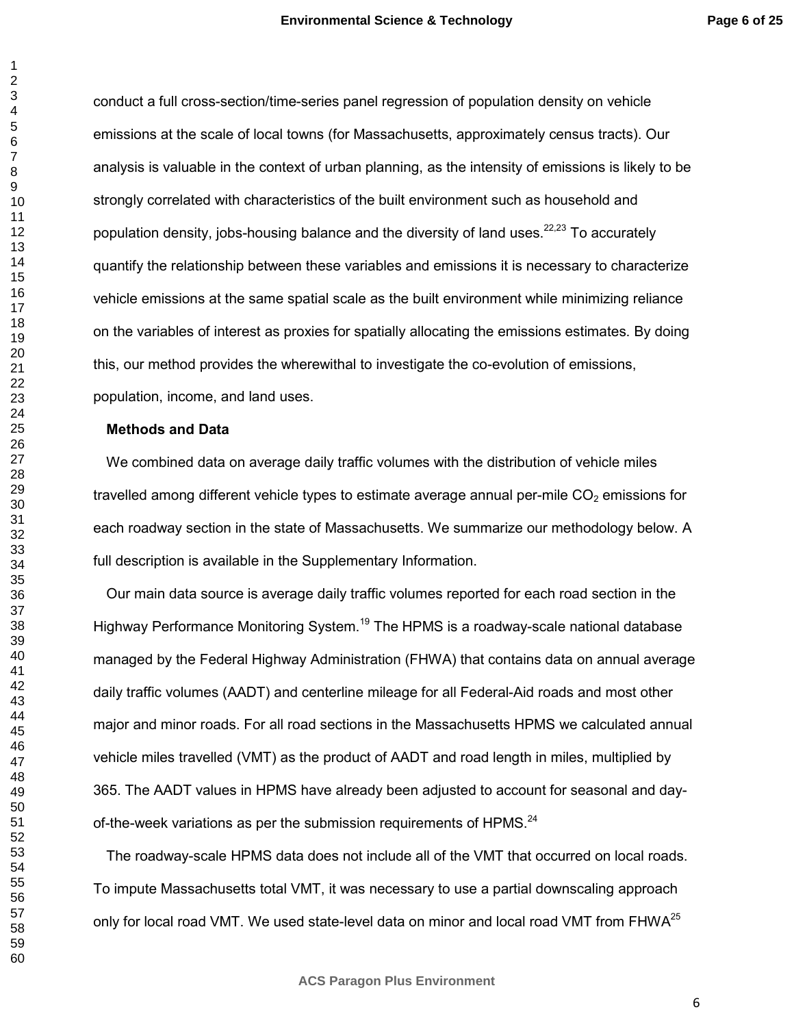conduct a full cross-section/time-series panel regression of population density on vehicle emissions at the scale of local towns (for Massachusetts, approximately census tracts). Our analysis is valuable in the context of urban planning, as the intensity of emissions is likely to be strongly correlated with characteristics of the built environment such as household and population density, jobs-housing balance and the diversity of land uses.<sup>22,23</sup> To accurately quantify the relationship between these variables and emissions it is necessary to characterize vehicle emissions at the same spatial scale as the built environment while minimizing reliance on the variables of interest as proxies for spatially allocating the emissions estimates. By doing this, our method provides the wherewithal to investigate the co-evolution of emissions, population, income, and land uses.

## **Methods and Data**

We combined data on average daily traffic volumes with the distribution of vehicle miles travelled among different vehicle types to estimate average annual per-mile  $CO<sub>2</sub>$  emissions for each roadway section in the state of Massachusetts. We summarize our methodology below. A full description is available in the Supplementary Information.

Our main data source is average daily traffic volumes reported for each road section in the Highway Performance Monitoring System.<sup>19</sup> The HPMS is a roadway-scale national database managed by the Federal Highway Administration (FHWA) that contains data on annual average daily traffic volumes (AADT) and centerline mileage for all Federal-Aid roads and most other major and minor roads. For all road sections in the Massachusetts HPMS we calculated annual vehicle miles travelled (VMT) as the product of AADT and road length in miles, multiplied by 365. The AADT values in HPMS have already been adjusted to account for seasonal and dayof-the-week variations as per the submission requirements of HPMS.<sup>24</sup>

The roadway-scale HPMS data does not include all of the VMT that occurred on local roads. To impute Massachusetts total VMT, it was necessary to use a partial downscaling approach only for local road VMT. We used state-level data on minor and local road VMT from FHWA<sup>25</sup>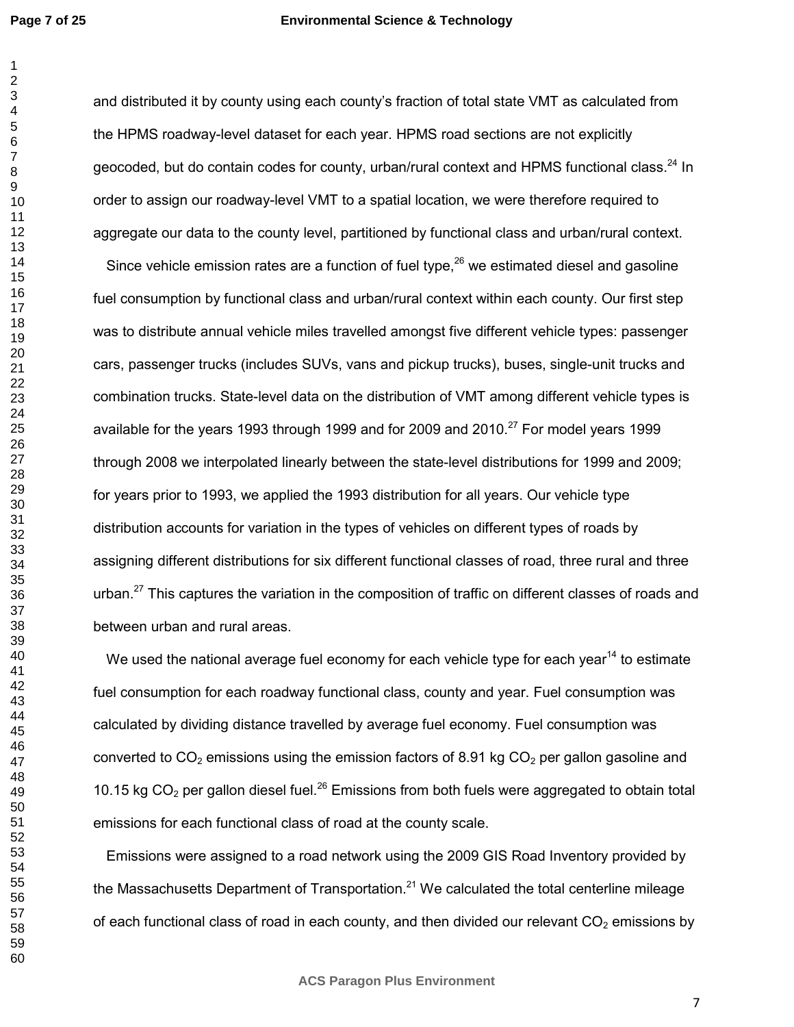#### **Environmental Science & Technology**

and distributed it by county using each county's fraction of total state VMT as calculated from the HPMS roadway-level dataset for each year. HPMS road sections are not explicitly geocoded, but do contain codes for county, urban/rural context and HPMS functional class.<sup>24</sup> In order to assign our roadway-level VMT to a spatial location, we were therefore required to aggregate our data to the county level, partitioned by functional class and urban/rural context.

Since vehicle emission rates are a function of fuel type, we estimated diesel and gasoline fuel consumption by functional class and urban/rural context within each county. Our first step was to distribute annual vehicle miles travelled amongst five different vehicle types: passenger cars, passenger trucks (includes SUVs, vans and pickup trucks), buses, single-unit trucks and combination trucks. State-level data on the distribution of VMT among different vehicle types is available for the years 1993 through 1999 and for 2009 and 2010.<sup>27</sup> For model years 1999 through 2008 we interpolated linearly between the state-level distributions for 1999 and 2009; for years prior to 1993, we applied the 1993 distribution for all years. Our vehicle type distribution accounts for variation in the types of vehicles on different types of roads by assigning different distributions for six different functional classes of road, three rural and three urban.<sup>27</sup> This captures the variation in the composition of traffic on different classes of roads and between urban and rural areas.

We used the national average fuel economy for each vehicle type for each year<sup>14</sup> to estimate fuel consumption for each roadway functional class, county and year. Fuel consumption was calculated by dividing distance travelled by average fuel economy. Fuel consumption was converted to  $CO<sub>2</sub>$  emissions using the emission factors of 8.91 kg  $CO<sub>2</sub>$  per gallon gasoline and 10.15 kg  $CO<sub>2</sub>$  per gallon diesel fuel.<sup>26</sup> Emissions from both fuels were aggregated to obtain total emissions for each functional class of road at the county scale.

Emissions were assigned to a road network using the 2009 GIS Road Inventory provided by the Massachusetts Department of Transportation.<sup>21</sup> We calculated the total centerline mileage of each functional class of road in each county, and then divided our relevant  $CO<sub>2</sub>$  emissions by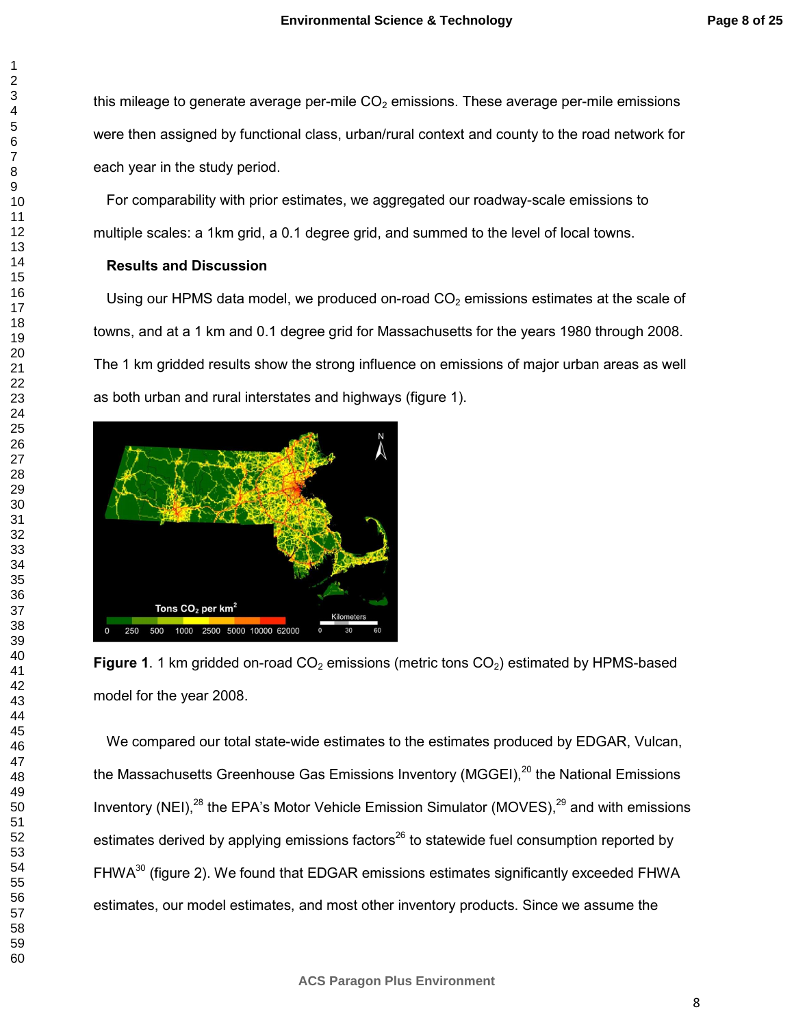this mileage to generate average per-mile  $CO<sub>2</sub>$  emissions. These average per-mile emissions were then assigned by functional class, urban/rural context and county to the road network for each year in the study period.

For comparability with prior estimates, we aggregated our roadway-scale emissions to multiple scales: a 1km grid, a 0.1 degree grid, and summed to the level of local towns.

## **Results and Discussion**

Using our HPMS data model, we produced on-road  $CO<sub>2</sub>$  emissions estimates at the scale of towns, and at a 1 km and 0.1 degree grid for Massachusetts for the years 1980 through 2008. The 1 km gridded results show the strong influence on emissions of major urban areas as well as both urban and rural interstates and highways (figure 1).



**Figure 1**. 1 km gridded on-road  $CO<sub>2</sub>$  emissions (metric tons  $CO<sub>2</sub>$ ) estimated by HPMS-based model for the year 2008.

We compared our total state-wide estimates to the estimates produced by EDGAR, Vulcan, the Massachusetts Greenhouse Gas Emissions Inventory (MGGEI),<sup>20</sup> the National Emissions Inventory (NEI),<sup>28</sup> the EPA's Motor Vehicle Emission Simulator (MOVES),<sup>29</sup> and with emissions estimates derived by applying emissions factors<sup>26</sup> to statewide fuel consumption reported by FHWA<sup>30</sup> (figure 2). We found that EDGAR emissions estimates significantly exceeded FHWA estimates, our model estimates, and most other inventory products. Since we assume the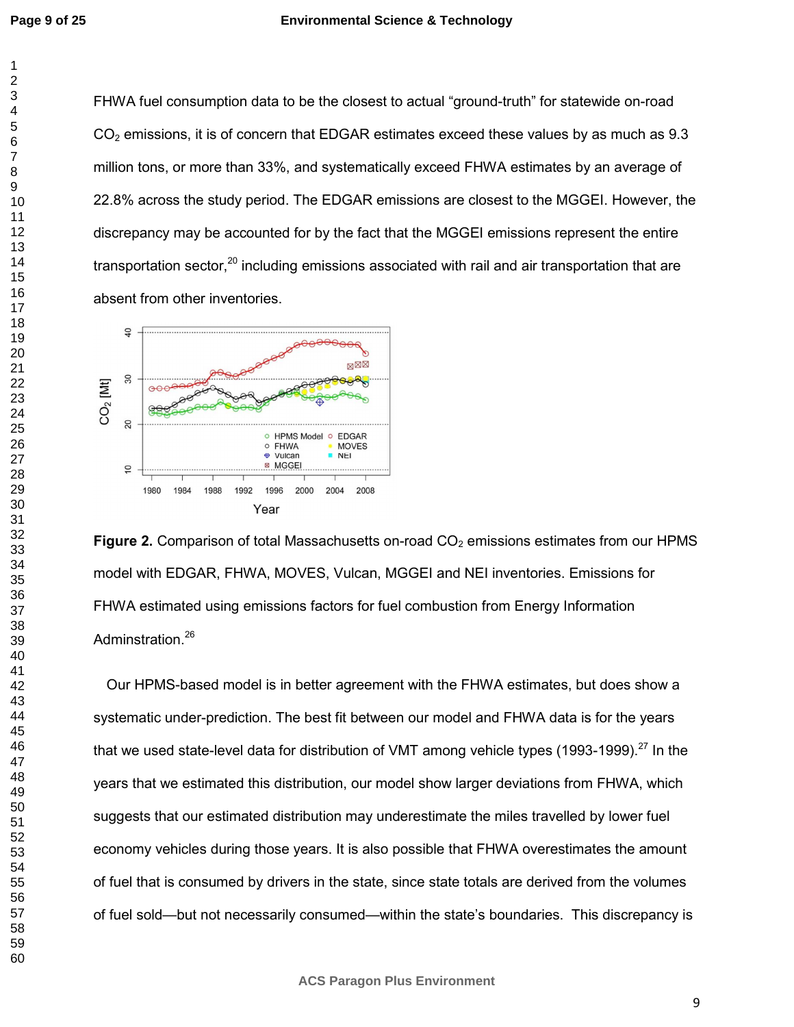FHWA fuel consumption data to be the closest to actual "ground-truth" for statewide on-road  $CO<sub>2</sub>$  emissions, it is of concern that EDGAR estimates exceed these values by as much as 9.3 million tons, or more than 33%, and systematically exceed FHWA estimates by an average of 22.8% across the study period. The EDGAR emissions are closest to the MGGEI. However, the discrepancy may be accounted for by the fact that the MGGEI emissions represent the entire transportation sector, including emissions associated with rail and air transportation that are absent from other inventories.



**Figure 2.** Comparison of total Massachusetts on-road CO<sub>2</sub> emissions estimates from our HPMS model with EDGAR, FHWA, MOVES, Vulcan, MGGEI and NEI inventories. Emissions for FHWA estimated using emissions factors for fuel combustion from Energy Information Adminstration.<sup>26</sup>

Our HPMS-based model is in better agreement with the FHWA estimates, but does show a systematic under-prediction. The best fit between our model and FHWA data is for the years that we used state-level data for distribution of VMT among vehicle types (1993-1999).<sup>27</sup> In the years that we estimated this distribution, our model show larger deviations from FHWA, which suggests that our estimated distribution may underestimate the miles travelled by lower fuel economy vehicles during those years. It is also possible that FHWA overestimates the amount of fuel that is consumed by drivers in the state, since state totals are derived from the volumes of fuel sold—but not necessarily consumed—within the state's boundaries. This discrepancy is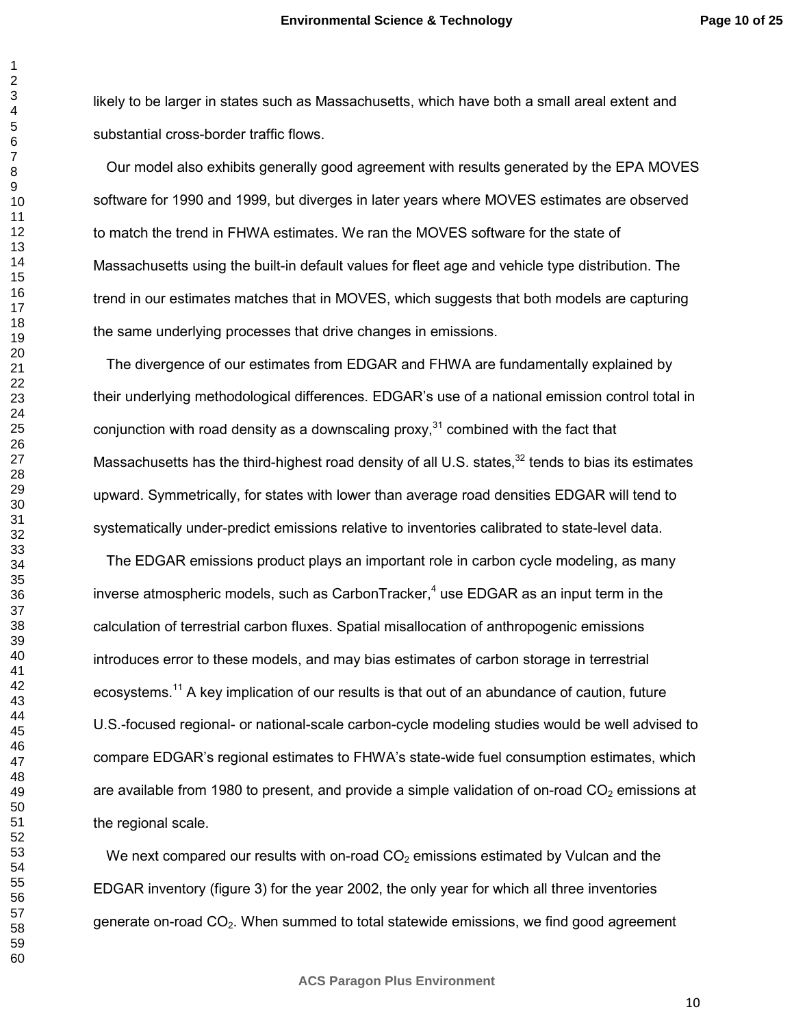likely to be larger in states such as Massachusetts, which have both a small areal extent and substantial cross-border traffic flows.

Our model also exhibits generally good agreement with results generated by the EPA MOVES software for 1990 and 1999, but diverges in later years where MOVES estimates are observed to match the trend in FHWA estimates. We ran the MOVES software for the state of Massachusetts using the built-in default values for fleet age and vehicle type distribution. The trend in our estimates matches that in MOVES, which suggests that both models are capturing the same underlying processes that drive changes in emissions.

The divergence of our estimates from EDGAR and FHWA are fundamentally explained by their underlying methodological differences. EDGAR's use of a national emission control total in conjunction with road density as a downscaling proxy, combined with the fact that Massachusetts has the third-highest road density of all U.S. states,<sup>32</sup> tends to bias its estimates upward. Symmetrically, for states with lower than average road densities EDGAR will tend to systematically under-predict emissions relative to inventories calibrated to state-level data.

The EDGAR emissions product plays an important role in carbon cycle modeling, as many inverse atmospheric models, such as CarbonTracker,<sup>4</sup> use EDGAR as an input term in the calculation of terrestrial carbon fluxes. Spatial misallocation of anthropogenic emissions introduces error to these models, and may bias estimates of carbon storage in terrestrial ecosystems.<sup>11</sup> A key implication of our results is that out of an abundance of caution, future U.S.-focused regional- or national-scale carbon-cycle modeling studies would be well advised to compare EDGAR's regional estimates to FHWA's state-wide fuel consumption estimates, which are available from 1980 to present, and provide a simple validation of on-road  $CO<sub>2</sub>$  emissions at the regional scale.

We next compared our results with on-road  $CO<sub>2</sub>$  emissions estimated by Vulcan and the EDGAR inventory (figure 3) for the year 2002, the only year for which all three inventories generate on-road  $CO<sub>2</sub>$ . When summed to total statewide emissions, we find good agreement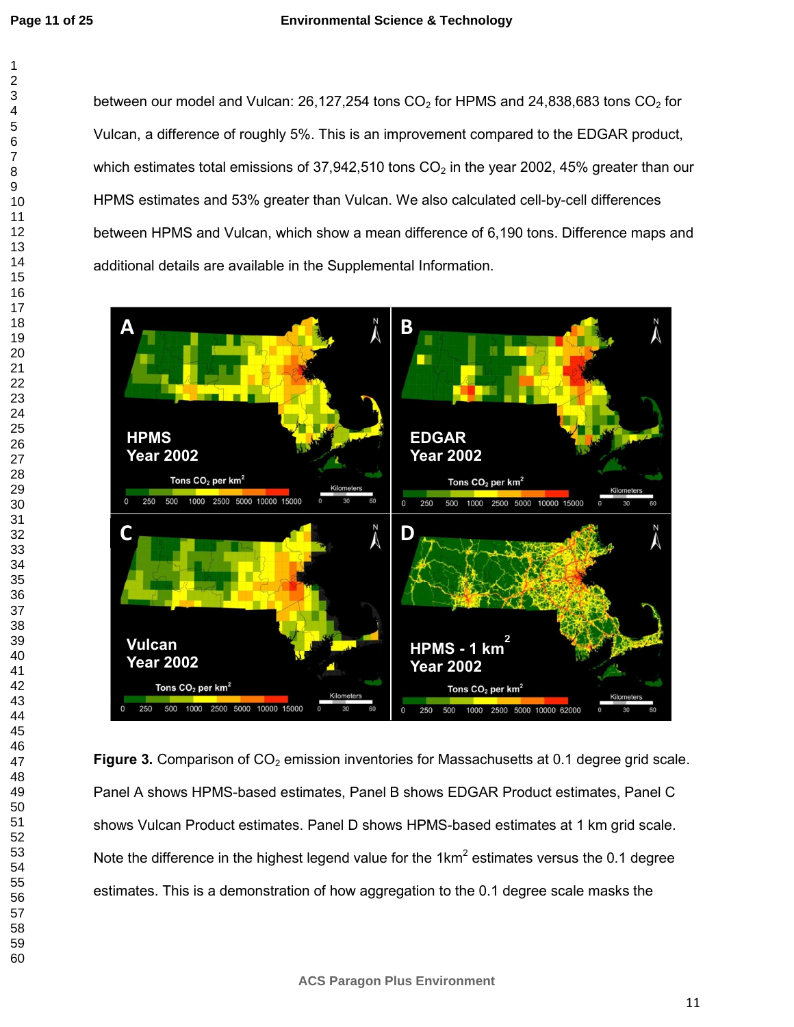between our model and Vulcan: 26,127,254 tons  $CO<sub>2</sub>$  for HPMS and 24,838,683 tons  $CO<sub>2</sub>$  for Vulcan, a difference of roughly 5%. This is an improvement compared to the EDGAR product, which estimates total emissions of 37,942,510 tons  $CO<sub>2</sub>$  in the year 2002, 45% greater than our HPMS estimates and 53% greater than Vulcan. We also calculated cell-by-cell differences between HPMS and Vulcan, which show a mean difference of 6,190 tons. Difference maps and additional details are available in the Supplemental Information.



**Figure 3.** Comparison of CO<sub>2</sub> emission inventories for Massachusetts at 0.1 degree grid scale. Panel A shows HPMS-based estimates, Panel B shows EDGAR Product estimates, Panel C shows Vulcan Product estimates. Panel D shows HPMS-based estimates at 1 km grid scale. Note the difference in the highest legend value for the 1km<sup>2</sup> estimates versus the 0.1 degree estimates. This is a demonstration of how aggregation to the 0.1 degree scale masks the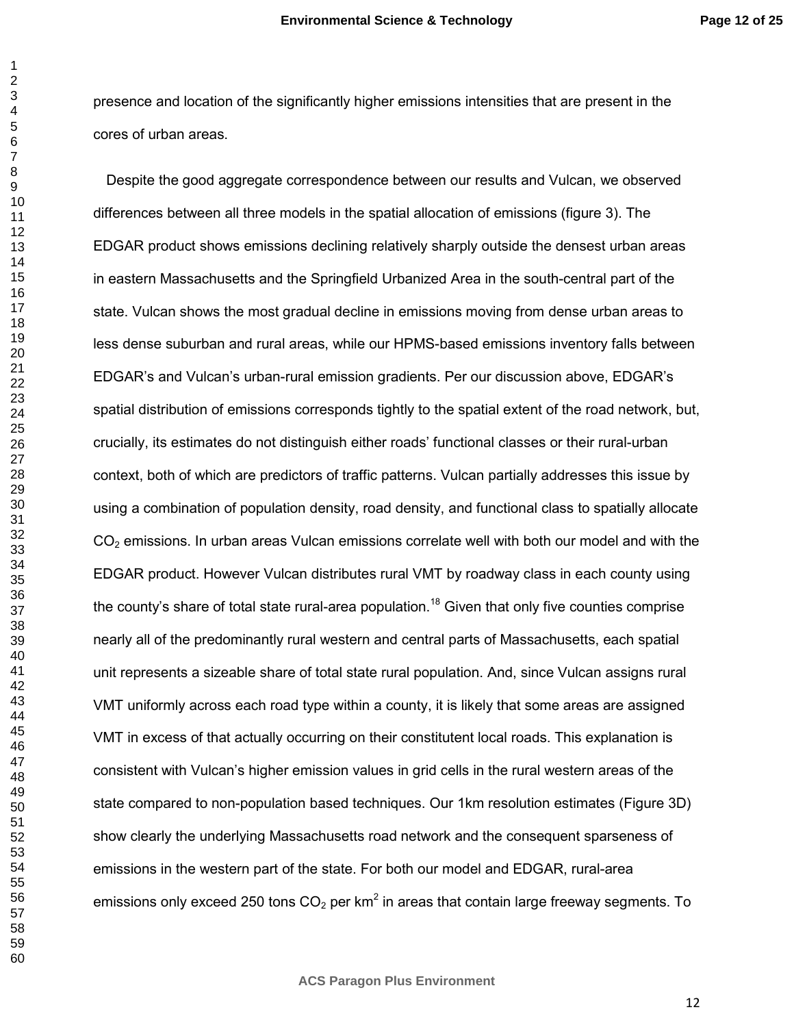presence and location of the significantly higher emissions intensities that are present in the cores of urban areas.

Despite the good aggregate correspondence between our results and Vulcan, we observed differences between all three models in the spatial allocation of emissions (figure 3). The EDGAR product shows emissions declining relatively sharply outside the densest urban areas in eastern Massachusetts and the Springfield Urbanized Area in the south-central part of the state. Vulcan shows the most gradual decline in emissions moving from dense urban areas to less dense suburban and rural areas, while our HPMS-based emissions inventory falls between EDGAR's and Vulcan's urban-rural emission gradients. Per our discussion above, EDGAR's spatial distribution of emissions corresponds tightly to the spatial extent of the road network, but, crucially, its estimates do not distinguish either roads' functional classes or their rural-urban context, both of which are predictors of traffic patterns. Vulcan partially addresses this issue by using a combination of population density, road density, and functional class to spatially allocate  $CO<sub>2</sub>$  emissions. In urban areas Vulcan emissions correlate well with both our model and with the EDGAR product. However Vulcan distributes rural VMT by roadway class in each county using the county's share of total state rural-area population.<sup>18</sup> Given that only five counties comprise nearly all of the predominantly rural western and central parts of Massachusetts, each spatial unit represents a sizeable share of total state rural population. And, since Vulcan assigns rural VMT uniformly across each road type within a county, it is likely that some areas are assigned VMT in excess of that actually occurring on their constitutent local roads. This explanation is consistent with Vulcan's higher emission values in grid cells in the rural western areas of the state compared to non-population based techniques. Our 1km resolution estimates (Figure 3D) show clearly the underlying Massachusetts road network and the consequent sparseness of emissions in the western part of the state. For both our model and EDGAR, rural-area emissions only exceed 250 tons  $CO<sub>2</sub>$  per km<sup>2</sup> in areas that contain large freeway segments. To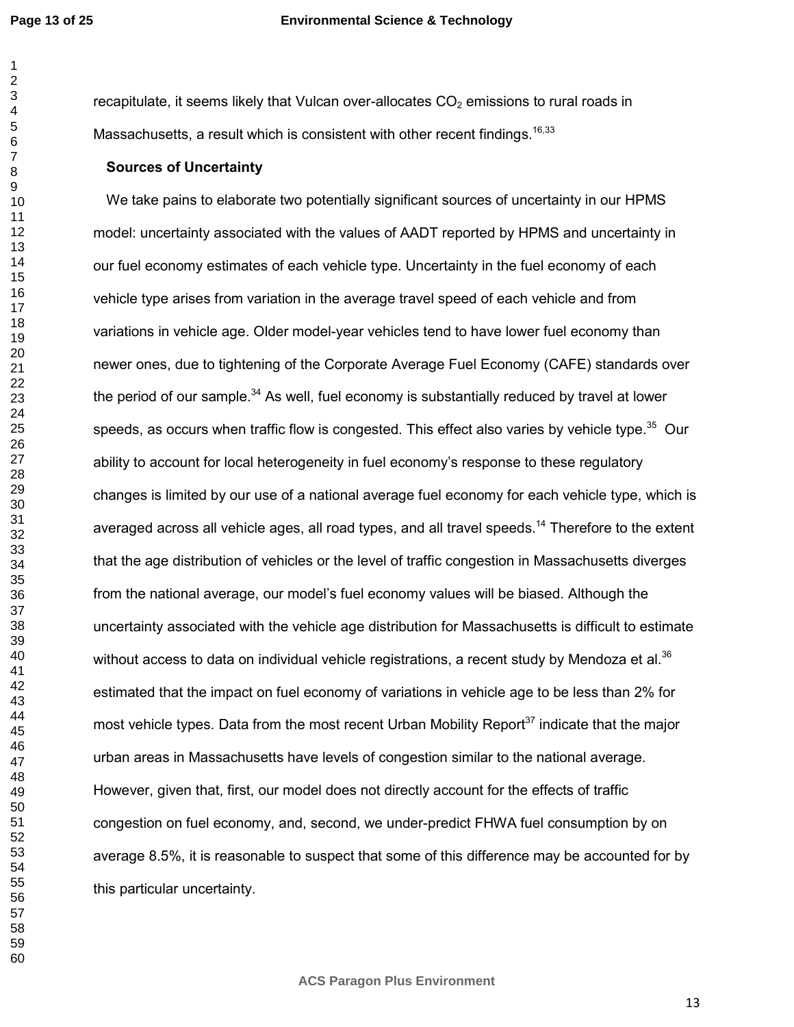#### **Environmental Science & Technology**

recapitulate, it seems likely that Vulcan over-allocates  $CO<sub>2</sub>$  emissions to rural roads in Massachusetts, a result which is consistent with other recent findings.  $16,33$ 

## **Sources of Uncertainty**

We take pains to elaborate two potentially significant sources of uncertainty in our HPMS model: uncertainty associated with the values of AADT reported by HPMS and uncertainty in our fuel economy estimates of each vehicle type. Uncertainty in the fuel economy of each vehicle type arises from variation in the average travel speed of each vehicle and from variations in vehicle age. Older model-year vehicles tend to have lower fuel economy than newer ones, due to tightening of the Corporate Average Fuel Economy (CAFE) standards over the period of our sample. As well, fuel economy is substantially reduced by travel at lower speeds, as occurs when traffic flow is congested. This effect also varies by vehicle type.<sup>35</sup> Our ability to account for local heterogeneity in fuel economy's response to these regulatory changes is limited by our use of a national average fuel economy for each vehicle type, which is averaged across all vehicle ages, all road types, and all travel speeds.<sup>14</sup> Therefore to the extent that the age distribution of vehicles or the level of traffic congestion in Massachusetts diverges from the national average, our model's fuel economy values will be biased. Although the uncertainty associated with the vehicle age distribution for Massachusetts is difficult to estimate without access to data on individual vehicle registrations, a recent study by Mendoza et al.<sup>36</sup> estimated that the impact on fuel economy of variations in vehicle age to be less than 2% for most vehicle types. Data from the most recent Urban Mobility Report<sup>37</sup> indicate that the major urban areas in Massachusetts have levels of congestion similar to the national average. However, given that, first, our model does not directly account for the effects of traffic congestion on fuel economy, and, second, we under-predict FHWA fuel consumption by on average 8.5%, it is reasonable to suspect that some of this difference may be accounted for by this particular uncertainty.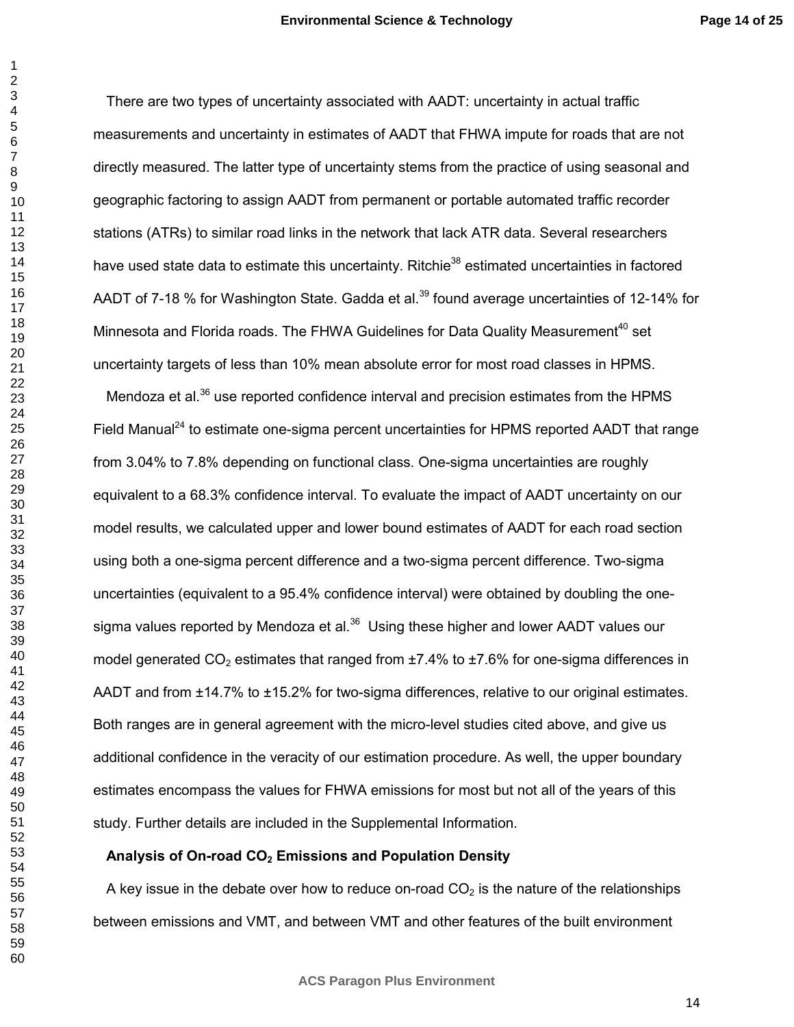There are two types of uncertainty associated with AADT: uncertainty in actual traffic measurements and uncertainty in estimates of AADT that FHWA impute for roads that are not directly measured. The latter type of uncertainty stems from the practice of using seasonal and geographic factoring to assign AADT from permanent or portable automated traffic recorder stations (ATRs) to similar road links in the network that lack ATR data. Several researchers have used state data to estimate this uncertainty. Ritchie<sup>38</sup> estimated uncertainties in factored AADT of 7-18 % for Washington State. Gadda et al.<sup>39</sup> found average uncertainties of 12-14% for Minnesota and Florida roads. The FHWA Guidelines for Data Quality Measurement<sup>40</sup> set uncertainty targets of less than 10% mean absolute error for most road classes in HPMS.

Mendoza et al.<sup>36</sup> use reported confidence interval and precision estimates from the HPMS Field Manual<sup>24</sup> to estimate one-sigma percent uncertainties for HPMS reported AADT that range from 3.04% to 7.8% depending on functional class. One-sigma uncertainties are roughly equivalent to a 68.3% confidence interval. To evaluate the impact of AADT uncertainty on our model results, we calculated upper and lower bound estimates of AADT for each road section using both a one-sigma percent difference and a two-sigma percent difference. Two-sigma uncertainties (equivalent to a 95.4% confidence interval) were obtained by doubling the onesigma values reported by Mendoza et al. Using these higher and lower AADT values our model generated  $CO<sub>2</sub>$  estimates that ranged from  $\pm$ 7.4% to  $\pm$ 7.6% for one-sigma differences in AADT and from ±14.7% to ±15.2% for two-sigma differences, relative to our original estimates. Both ranges are in general agreement with the micro-level studies cited above, and give us additional confidence in the veracity of our estimation procedure. As well, the upper boundary estimates encompass the values for FHWA emissions for most but not all of the years of this study. Further details are included in the Supplemental Information.

## **Analysis of On-road CO2 Emissions and Population Density**

A key issue in the debate over how to reduce on-road  $CO<sub>2</sub>$  is the nature of the relationships between emissions and VMT, and between VMT and other features of the built environment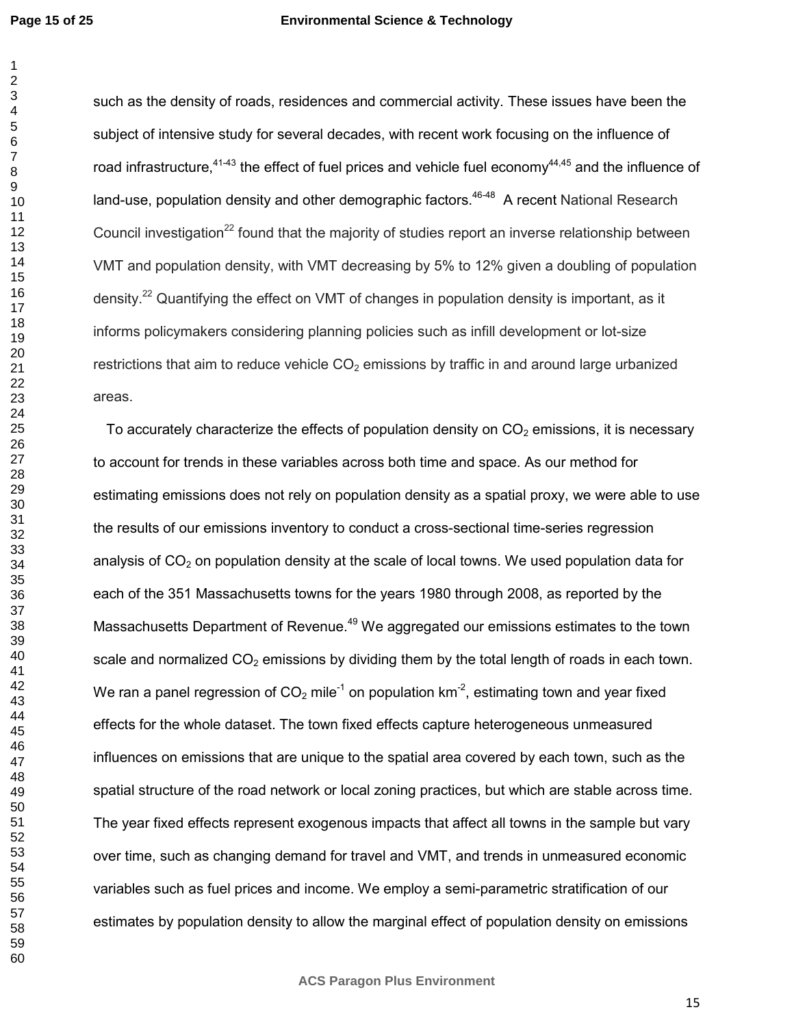**Page 15 of 25**

#### **Environmental Science & Technology**

such as the density of roads, residences and commercial activity. These issues have been the subject of intensive study for several decades, with recent work focusing on the influence of road infrastructure,  $41-43$  the effect of fuel prices and vehicle fuel economy  $44,45$  and the influence of land-use, population density and other demographic factors.<sup>46-48</sup> A recent National Research Council investigation<sup>22</sup> found that the majority of studies report an inverse relationship between VMT and population density, with VMT decreasing by 5% to 12% given a doubling of population density.<sup>22</sup> Quantifying the effect on VMT of changes in population density is important, as it informs policymakers considering planning policies such as infill development or lot-size restrictions that aim to reduce vehicle  $CO<sub>2</sub>$  emissions by traffic in and around large urbanized areas.

To accurately characterize the effects of population density on  $CO<sub>2</sub>$  emissions, it is necessary to account for trends in these variables across both time and space. As our method for estimating emissions does not rely on population density as a spatial proxy, we were able to use the results of our emissions inventory to conduct a cross-sectional time-series regression analysis of  $CO<sub>2</sub>$  on population density at the scale of local towns. We used population data for each of the 351 Massachusetts towns for the years 1980 through 2008, as reported by the Massachusetts Department of Revenue.<sup>49</sup> We aggregated our emissions estimates to the town scale and normalized  $CO<sub>2</sub>$  emissions by dividing them by the total length of roads in each town. We ran a panel regression of  $CO<sub>2</sub>$  mile<sup>-1</sup> on population km<sup>-2</sup>, estimating town and year fixed effects for the whole dataset. The town fixed effects capture heterogeneous unmeasured influences on emissions that are unique to the spatial area covered by each town, such as the spatial structure of the road network or local zoning practices, but which are stable across time. The year fixed effects represent exogenous impacts that affect all towns in the sample but vary over time, such as changing demand for travel and VMT, and trends in unmeasured economic variables such as fuel prices and income. We employ a semi-parametric stratification of our estimates by population density to allow the marginal effect of population density on emissions

**ACS Paragon Plus Environment**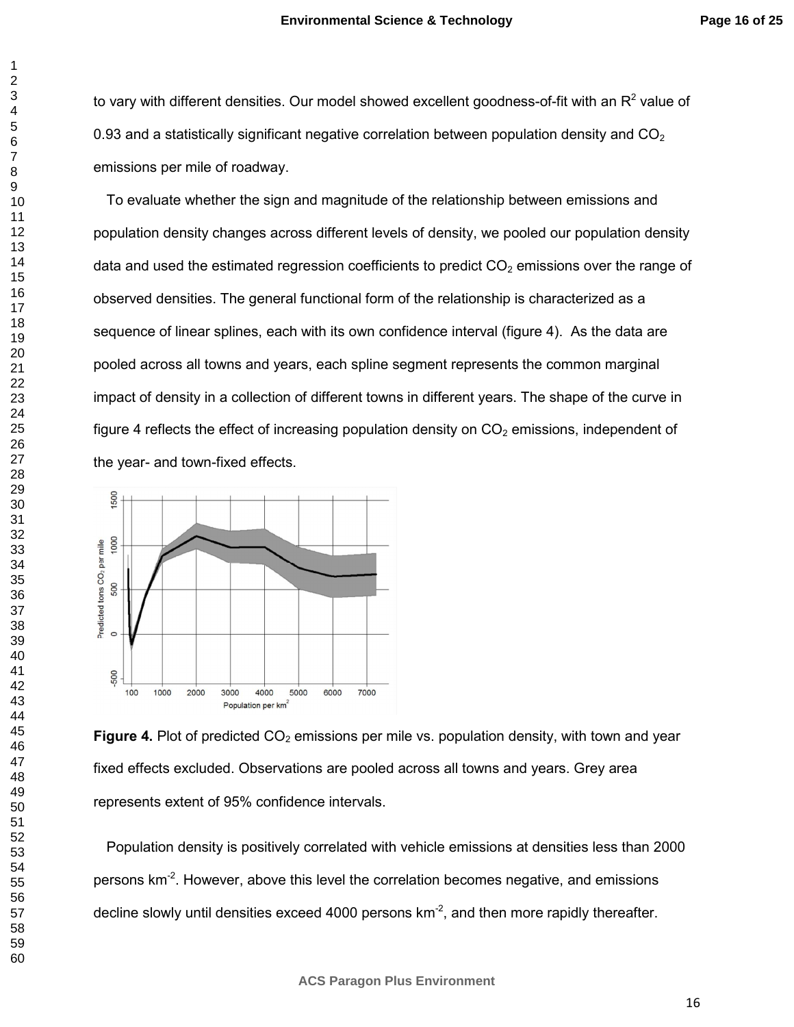to vary with different densities. Our model showed excellent goodness-of-fit with an R<sup>2</sup> value of 0.93 and a statistically significant negative correlation between population density and  $CO<sub>2</sub>$ emissions per mile of roadway.

To evaluate whether the sign and magnitude of the relationship between emissions and population density changes across different levels of density, we pooled our population density data and used the estimated regression coefficients to predict  $CO<sub>2</sub>$  emissions over the range of observed densities. The general functional form of the relationship is characterized as a sequence of linear splines, each with its own confidence interval (figure 4). As the data are pooled across all towns and years, each spline segment represents the common marginal impact of density in a collection of different towns in different years. The shape of the curve in figure 4 reflects the effect of increasing population density on  $CO<sub>2</sub>$  emissions, independent of the year- and town-fixed effects.



**Figure 4.** Plot of predicted CO<sub>2</sub> emissions per mile vs. population density, with town and year fixed effects excluded. Observations are pooled across all towns and years. Grey area represents extent of 95% confidence intervals.

Population density is positively correlated with vehicle emissions at densities less than 2000 persons km<sup>-2</sup>. However, above this level the correlation becomes negative, and emissions decline slowly until densities exceed 4000 persons  $km<sup>-2</sup>$ , and then more rapidly thereafter.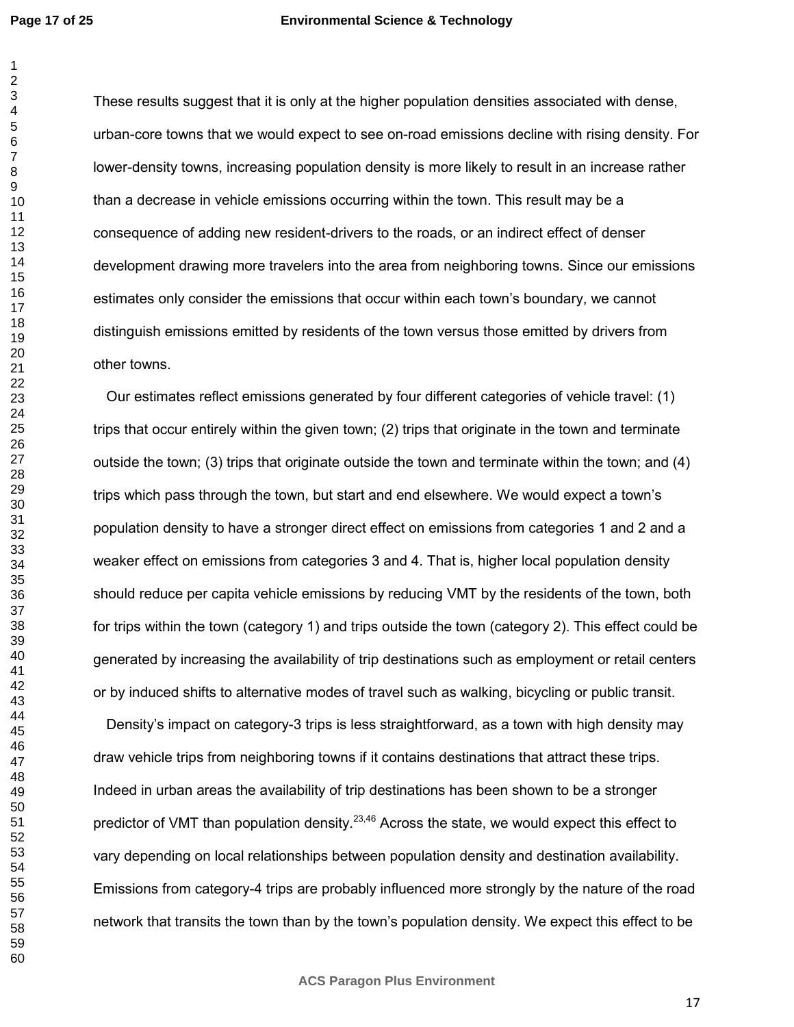**Page 17 of 25**

#### **Environmental Science & Technology**

These results suggest that it is only at the higher population densities associated with dense, urban-core towns that we would expect to see on-road emissions decline with rising density. For lower-density towns, increasing population density is more likely to result in an increase rather than a decrease in vehicle emissions occurring within the town. This result may be a consequence of adding new resident-drivers to the roads, or an indirect effect of denser development drawing more travelers into the area from neighboring towns. Since our emissions estimates only consider the emissions that occur within each town's boundary, we cannot distinguish emissions emitted by residents of the town versus those emitted by drivers from other towns.

Our estimates reflect emissions generated by four different categories of vehicle travel: (1) trips that occur entirely within the given town; (2) trips that originate in the town and terminate outside the town; (3) trips that originate outside the town and terminate within the town; and (4) trips which pass through the town, but start and end elsewhere. We would expect a town's population density to have a stronger direct effect on emissions from categories 1 and 2 and a weaker effect on emissions from categories 3 and 4. That is, higher local population density should reduce per capita vehicle emissions by reducing VMT by the residents of the town, both for trips within the town (category 1) and trips outside the town (category 2). This effect could be generated by increasing the availability of trip destinations such as employment or retail centers or by induced shifts to alternative modes of travel such as walking, bicycling or public transit.

Density's impact on category-3 trips is less straightforward, as a town with high density may draw vehicle trips from neighboring towns if it contains destinations that attract these trips. Indeed in urban areas the availability of trip destinations has been shown to be a stronger predictor of VMT than population density.<sup>23,46</sup> Across the state, we would expect this effect to vary depending on local relationships between population density and destination availability. Emissions from category-4 trips are probably influenced more strongly by the nature of the road network that transits the town than by the town's population density. We expect this effect to be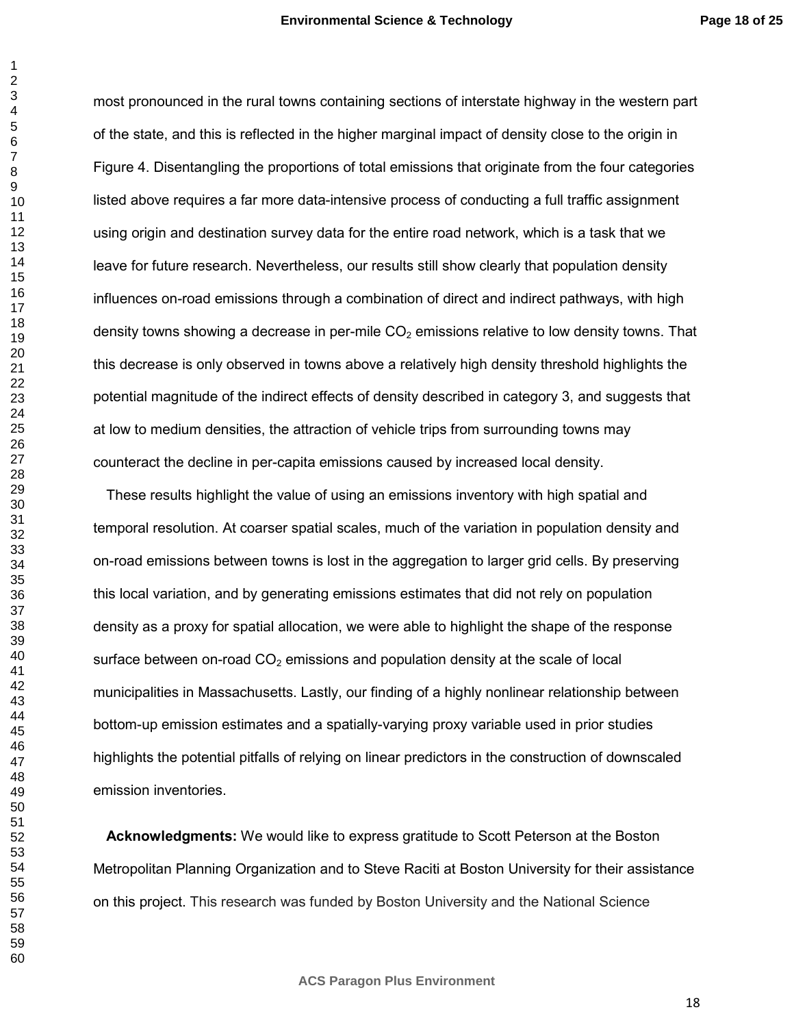most pronounced in the rural towns containing sections of interstate highway in the western part of the state, and this is reflected in the higher marginal impact of density close to the origin in Figure 4. Disentangling the proportions of total emissions that originate from the four categories listed above requires a far more data-intensive process of conducting a full traffic assignment using origin and destination survey data for the entire road network, which is a task that we leave for future research. Nevertheless, our results still show clearly that population density influences on-road emissions through a combination of direct and indirect pathways, with high density towns showing a decrease in per-mile  $CO<sub>2</sub>$  emissions relative to low density towns. That this decrease is only observed in towns above a relatively high density threshold highlights the potential magnitude of the indirect effects of density described in category 3, and suggests that at low to medium densities, the attraction of vehicle trips from surrounding towns may counteract the decline in per-capita emissions caused by increased local density.

These results highlight the value of using an emissions inventory with high spatial and temporal resolution. At coarser spatial scales, much of the variation in population density and on-road emissions between towns is lost in the aggregation to larger grid cells. By preserving this local variation, and by generating emissions estimates that did not rely on population density as a proxy for spatial allocation, we were able to highlight the shape of the response surface between on-road  $CO<sub>2</sub>$  emissions and population density at the scale of local municipalities in Massachusetts. Lastly, our finding of a highly nonlinear relationship between bottom-up emission estimates and a spatially-varying proxy variable used in prior studies highlights the potential pitfalls of relying on linear predictors in the construction of downscaled emission inventories.

**Acknowledgments:** We would like to express gratitude to Scott Peterson at the Boston Metropolitan Planning Organization and to Steve Raciti at Boston University for their assistance on this project. This research was funded by Boston University and the National Science

**ACS Paragon Plus Environment**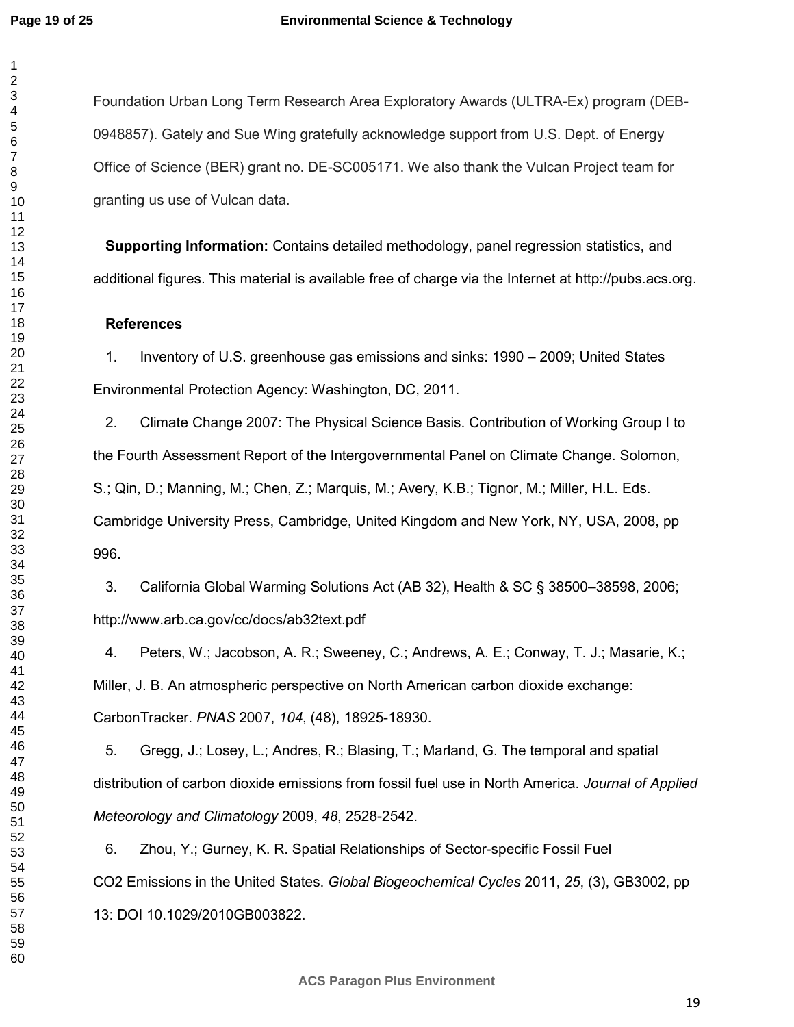Foundation Urban Long Term Research Area Exploratory Awards (ULTRA-Ex) program (DEB-0948857). Gately and Sue Wing gratefully acknowledge support from U.S. Dept. of Energy Office of Science (BER) grant no. DE-SC005171. We also thank the Vulcan Project team for granting us use of Vulcan data.

**Supporting Information:** Contains detailed methodology, panel regression statistics, and additional figures. This material is available free of charge via the Internet at http://pubs.acs.org.

## **References**

1. Inventory of U.S. greenhouse gas emissions and sinks: 1990 – 2009; United States Environmental Protection Agency: Washington, DC, 2011.

2. Climate Change 2007: The Physical Science Basis. Contribution of Working Group I to the Fourth Assessment Report of the Intergovernmental Panel on Climate Change. Solomon, S.; Qin, D.; Manning, M.; Chen, Z.; Marquis, M.; Avery, K.B.; Tignor, M.; Miller, H.L. Eds. Cambridge University Press, Cambridge, United Kingdom and New York, NY, USA, 2008, pp 996.

3. California Global Warming Solutions Act (AB 32), Health & SC § 38500–38598, 2006; http://www.arb.ca.gov/cc/docs/ab32text.pdf

4. Peters, W.; Jacobson, A. R.; Sweeney, C.; Andrews, A. E.; Conway, T. J.; Masarie, K.; Miller, J. B. An atmospheric perspective on North American carbon dioxide exchange: CarbonTracker. *PNAS* 2007, *104*, (48), 18925-18930.

5. Gregg, J.; Losey, L.; Andres, R.; Blasing, T.; Marland, G. The temporal and spatial distribution of carbon dioxide emissions from fossil fuel use in North America. *Journal of Applied Meteorology and Climatology* 2009, *48*, 2528-2542.

6. Zhou, Y.; Gurney, K. R. Spatial Relationships of Sector-specific Fossil Fuel CO2 Emissions in the United States. *Global Biogeochemical Cycles* 2011, *25*, (3), GB3002, pp 13: DOI 10.1029/2010GB003822.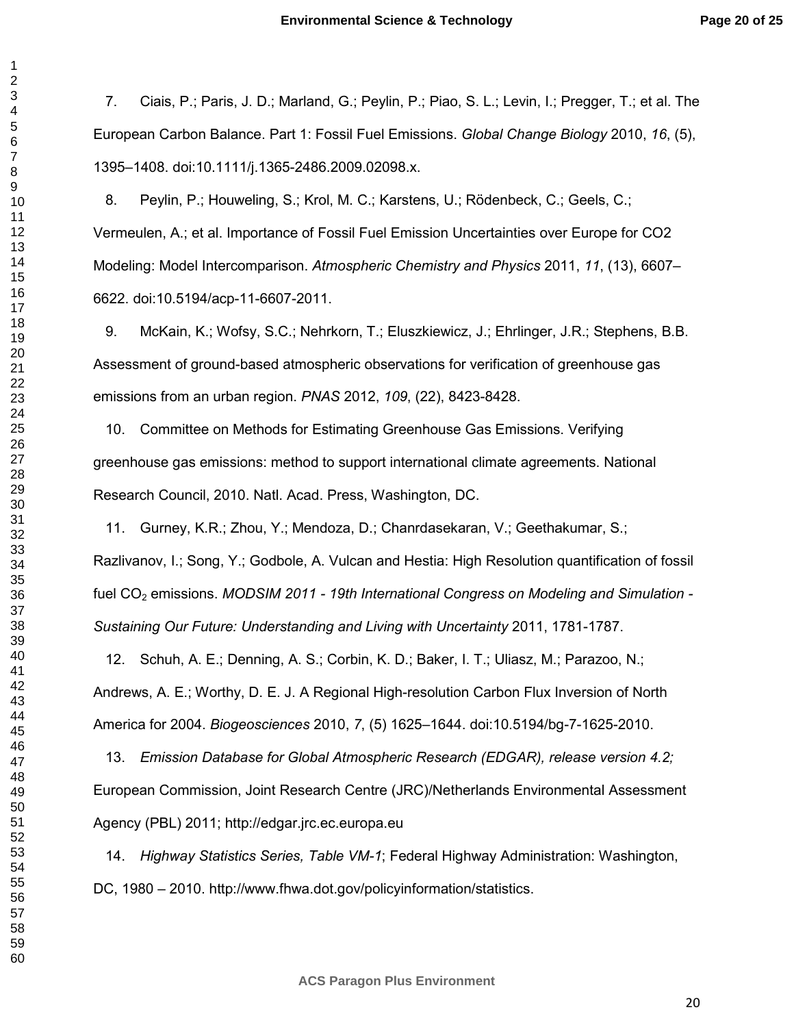7. Ciais, P.; Paris, J. D.; Marland, G.; Peylin, P.; Piao, S. L.; Levin, I.; Pregger, T.; et al. The European Carbon Balance. Part 1: Fossil Fuel Emissions. *Global Change Biology* 2010, *16*, (5), 1395–1408. doi:10.1111/j.1365-2486.2009.02098.x.

8. Peylin, P.; Houweling, S.; Krol, M. C.; Karstens, U.; Rödenbeck, C.; Geels, C.; Vermeulen, A.; et al. Importance of Fossil Fuel Emission Uncertainties over Europe for CO2 Modeling: Model Intercomparison. *Atmospheric Chemistry and Physics* 2011, *11*, (13), 6607– 6622. doi:10.5194/acp-11-6607-2011.

9. McKain, K.; Wofsy, S.C.; Nehrkorn, T.; Eluszkiewicz, J.; Ehrlinger, J.R.; Stephens, B.B. Assessment of ground-based atmospheric observations for verification of greenhouse gas emissions from an urban region. *PNAS* 2012, *109*, (22), 8423-8428.

10. Committee on Methods for Estimating Greenhouse Gas Emissions. Verifying greenhouse gas emissions: method to support international climate agreements. National Research Council, 2010. Natl. Acad. Press, Washington, DC.

11. Gurney, K.R.; Zhou, Y.; Mendoza, D.; Chanrdasekaran, V.; Geethakumar, S.; Razlivanov, I.; Song, Y.; Godbole, A. Vulcan and Hestia: High Resolution quantification of fossil fuel CO<sub>2</sub> emissions. *MODSIM 2011 - 19th International Congress on Modeling and Simulation -Sustaining Our Future: Understanding and Living with Uncertainty* 2011, 1781-1787.

12. Schuh, A. E.; Denning, A. S.; Corbin, K. D.; Baker, I. T.; Uliasz, M.; Parazoo, N.; Andrews, A. E.; Worthy, D. E. J. A Regional High-resolution Carbon Flux Inversion of North America for 2004. *Biogeosciences* 2010, *7*, (5) 1625–1644. doi:10.5194/bg-7-1625-2010.

13. *Emission Database for Global Atmospheric Research (EDGAR), release version 4.2;* European Commission, Joint Research Centre (JRC)/Netherlands Environmental Assessment Agency (PBL) 2011; http://edgar.jrc.ec.europa.eu

14. *Highway Statistics Series, Table VM-1*; Federal Highway Administration: Washington, DC, 1980 – 2010. http://www.fhwa.dot.gov/policyinformation/statistics.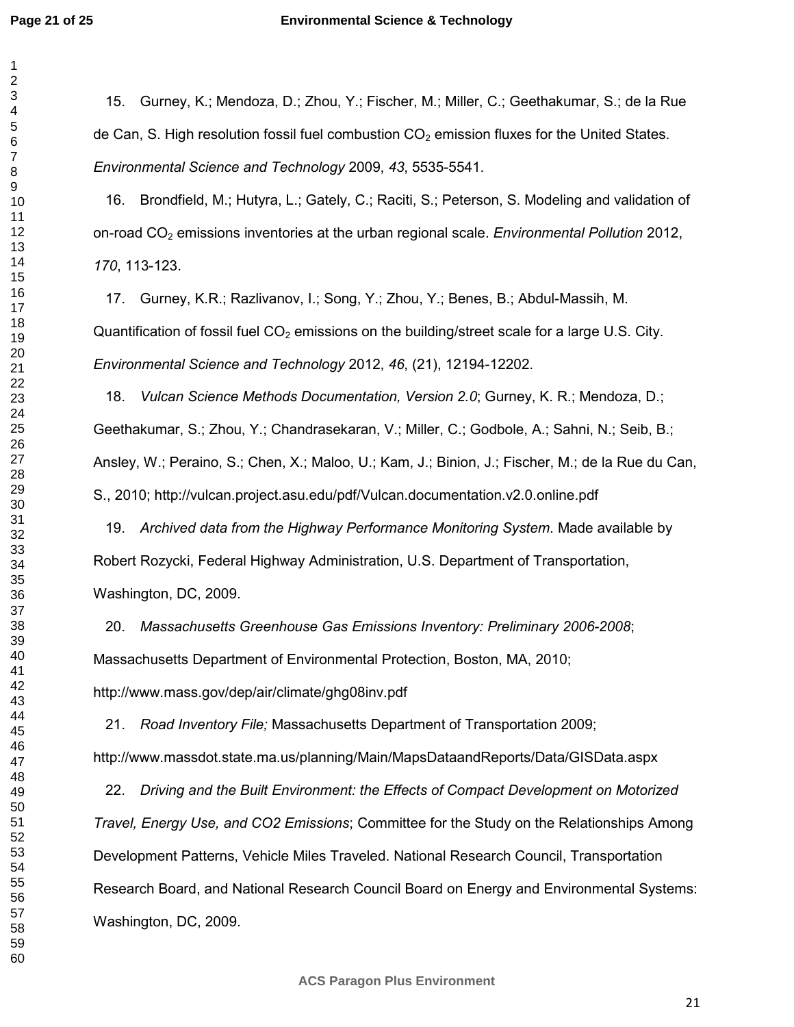#### **Environmental Science & Technology**

15. Gurney, K.; Mendoza, D.; Zhou, Y.; Fischer, M.; Miller, C.; Geethakumar, S.; de la Rue de Can, S. High resolution fossil fuel combustion  $CO<sub>2</sub>$  emission fluxes for the United States. *Environmental Science and Technology* 2009, *43*, 5535-5541.

16. Brondfield, M.; Hutyra, L.; Gately, C.; Raciti, S.; Peterson, S. Modeling and validation of on-road CO2 emissions inventories at the urban regional scale. *Environmental Pollution* 2012, , 113-123.

17. Gurney, K.R.; Razlivanov, I.; Song, Y.; Zhou, Y.; Benes, B.; Abdul-Massih, M. Quantification of fossil fuel  $CO<sub>2</sub>$  emissions on the building/street scale for a large U.S. City. *Environmental Science and Technology* 2012, *46*, (21), 12194-12202.

18. *Vulcan Science Methods Documentation, Version 2.0*; Gurney, K. R.; Mendoza, D.; Geethakumar, S.; Zhou, Y.; Chandrasekaran, V.; Miller, C.; Godbole, A.; Sahni, N.; Seib, B.; Ansley, W.; Peraino, S.; Chen, X.; Maloo, U.; Kam, J.; Binion, J.; Fischer, M.; de la Rue du Can, S., 2010; http://vulcan.project.asu.edu/pdf/Vulcan.documentation.v2.0.online.pdf

19. *Archived data from the Highway Performance Monitoring System*. Made available by Robert Rozycki, Federal Highway Administration, U.S. Department of Transportation, Washington, DC, 2009.

20. *Massachusetts Greenhouse Gas Emissions Inventory: Preliminary 2006-2008*; Massachusetts Department of Environmental Protection, Boston, MA, 2010; http://www.mass.gov/dep/air/climate/ghg08inv.pdf

21. *Road Inventory File;* Massachusetts Department of Transportation 2009; http://www.massdot.state.ma.us/planning/Main/MapsDataandReports/Data/GISData.aspx

22. *Driving and the Built Environment: the Effects of Compact Development on Motorized Travel, Energy Use, and CO2 Emissions*; Committee for the Study on the Relationships Among Development Patterns, Vehicle Miles Traveled. National Research Council, Transportation Research Board, and National Research Council Board on Energy and Environmental Systems: Washington, DC, 2009.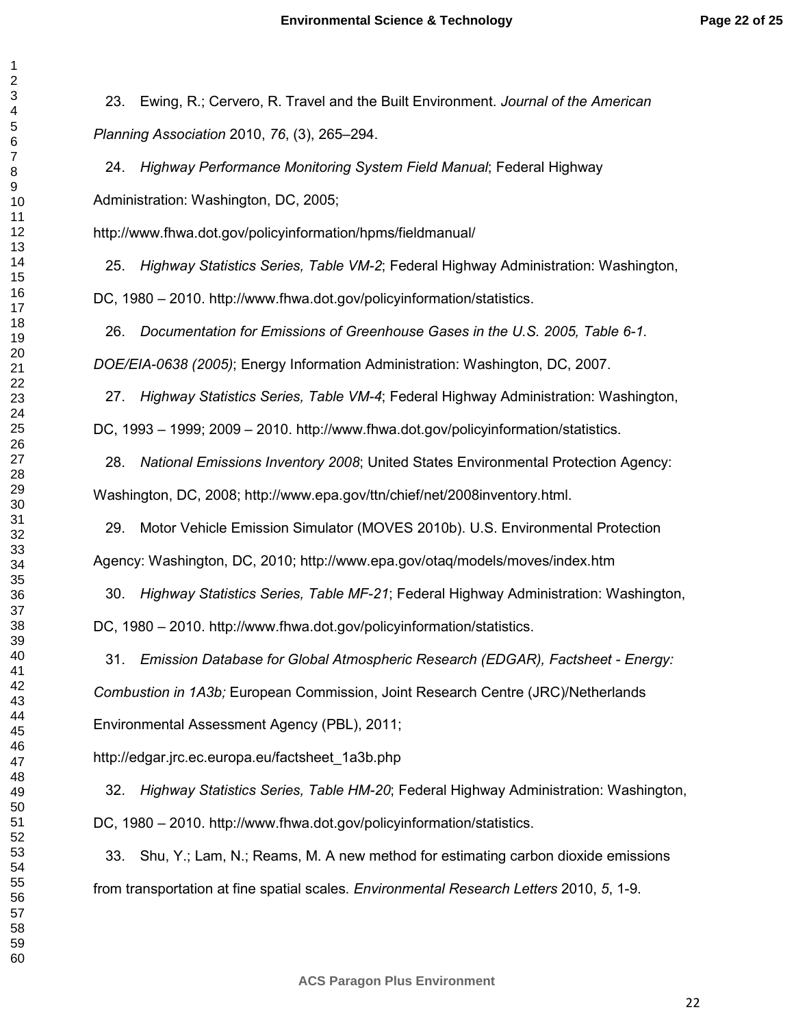23. Ewing, R.; Cervero, R. Travel and the Built Environment. *Journal of the American Planning Association* 2010, *76*, (3), 265–294.

24. *Highway Performance Monitoring System Field Manual*; Federal Highway Administration: Washington, DC, 2005;

http://www.fhwa.dot.gov/policyinformation/hpms/fieldmanual/

25. *Highway Statistics Series, Table VM-2*; Federal Highway Administration: Washington,

DC, 1980 – 2010. http://www.fhwa.dot.gov/policyinformation/statistics.

26. *Documentation for Emissions of Greenhouse Gases in the U.S. 2005, Table 6-1. DOE/EIA-0638 (2005)*; Energy Information Administration: Washington, DC, 2007.

27. *Highway Statistics Series, Table VM-4*; Federal Highway Administration: Washington,

DC, 1993 – 1999; 2009 – 2010. http://www.fhwa.dot.gov/policyinformation/statistics.

28. *National Emissions Inventory 2008*; United States Environmental Protection Agency: Washington, DC, 2008; http://www.epa.gov/ttn/chief/net/2008inventory.html.

29. Motor Vehicle Emission Simulator (MOVES 2010b). U.S. Environmental Protection Agency: Washington, DC, 2010; http://www.epa.gov/otaq/models/moves/index.htm

30. *Highway Statistics Series, Table MF-21*; Federal Highway Administration: Washington, DC, 1980 – 2010. http://www.fhwa.dot.gov/policyinformation/statistics.

31. *Emission Database for Global Atmospheric Research (EDGAR), Factsheet - Energy: Combustion in 1A3b;* European Commission, Joint Research Centre (JRC)/Netherlands Environmental Assessment Agency (PBL), 2011;

http://edgar.jrc.ec.europa.eu/factsheet\_1a3b.php

32. *Highway Statistics Series, Table HM-20*; Federal Highway Administration: Washington, DC, 1980 – 2010. http://www.fhwa.dot.gov/policyinformation/statistics.

33. Shu, Y.; Lam, N.; Reams, M. A new method for estimating carbon dioxide emissions from transportation at fine spatial scales. *Environmental Research Letters* 2010, *5*, 1-9.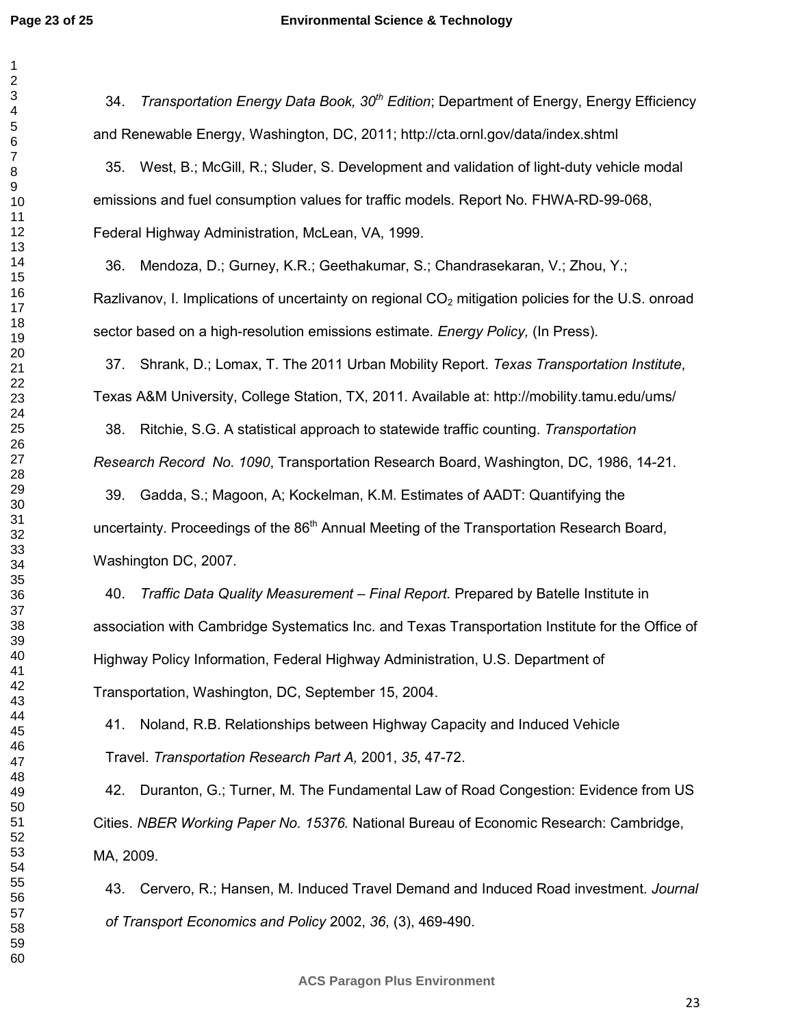34. *Transportation Energy Data Book, 30th Edition*; Department of Energy, Energy Efficiency and Renewable Energy, Washington, DC, 2011; http://cta.ornl.gov/data/index.shtml

35. West, B.; McGill, R.; Sluder, S. Development and validation of light-duty vehicle modal emissions and fuel consumption values for traffic models. Report No. FHWA-RD-99-068, Federal Highway Administration, McLean, VA, 1999.

36. Mendoza, D.; Gurney, K.R.; Geethakumar, S.; Chandrasekaran, V.; Zhou, Y.; Razlivanov, I. Implications of uncertainty on regional  $CO<sub>2</sub>$  mitigation policies for the U.S. onroad sector based on a high-resolution emissions estimate. *Energy Policy,* (In Press).

37. Shrank, D.; Lomax, T. The 2011 Urban Mobility Report. *Texas Transportation Institute*, Texas A&M University, College Station, TX, 2011. Available at: http://mobility.tamu.edu/ums/

38. Ritchie, S.G. A statistical approach to statewide traffic counting. *Transportation Research Record No. 1090*, Transportation Research Board, Washington, DC, 1986, 14-21.

39. Gadda, S.; Magoon, A; Kockelman, K.M. Estimates of AADT: Quantifying the uncertainty. Proceedings of the 86<sup>th</sup> Annual Meeting of the Transportation Research Board, Washington DC, 2007.

40. *Traffic Data Quality Measurement – Final Report.* Prepared by Batelle Institute in association with Cambridge Systematics Inc. and Texas Transportation Institute for the Office of Highway Policy Information, Federal Highway Administration, U.S. Department of Transportation, Washington, DC, September 15, 2004.

41. Noland, R.B. Relationships between Highway Capacity and Induced Vehicle Travel. *Transportation Research Part A,* 2001, *35*, 47-72.

42. Duranton, G.; Turner, M. The Fundamental Law of Road Congestion: Evidence from US Cities. *NBER Working Paper No. 15376.* National Bureau of Economic Research: Cambridge, MA, 2009.

43. Cervero, R.; Hansen, M. Induced Travel Demand and Induced Road investment. *Journal of Transport Economics and Policy* 2002, *36*, (3), 469-490.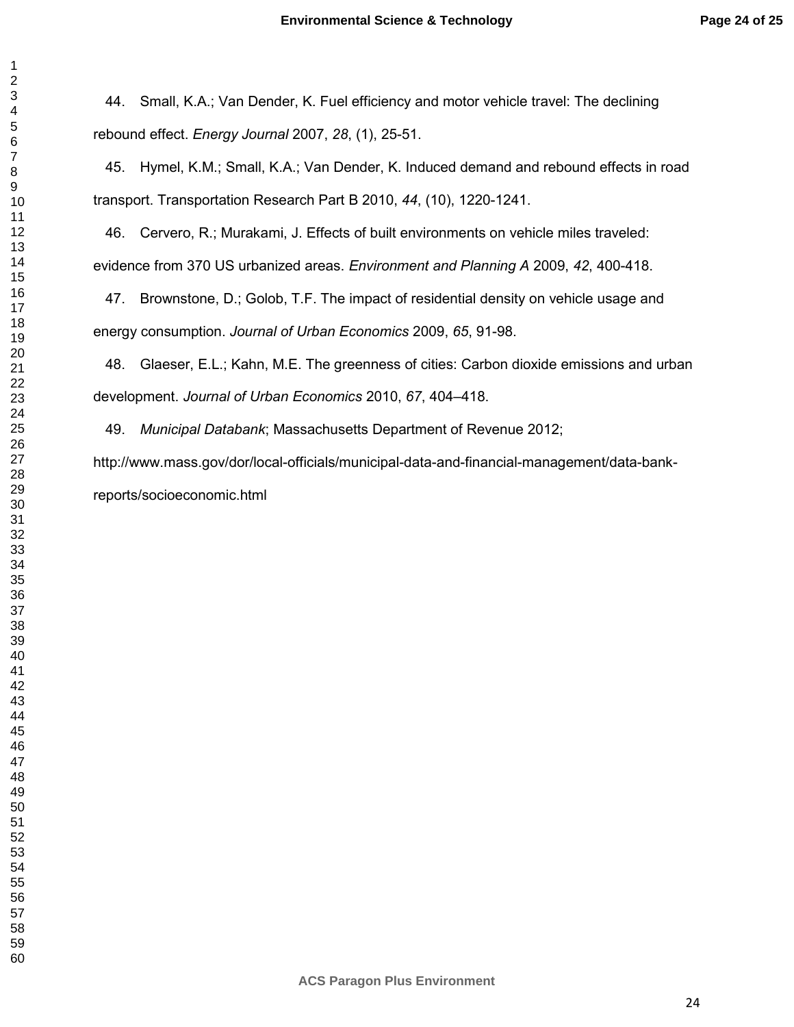44. Small, K.A.; Van Dender, K. Fuel efficiency and motor vehicle travel: The declining rebound effect. *Energy Journal* 2007, *28*, (1), 25-51.

45. Hymel, K.M.; Small, K.A.; Van Dender, K. Induced demand and rebound effects in road transport. Transportation Research Part B 2010, *44*, (10), 1220-1241.

46. Cervero, R.; Murakami, J. Effects of built environments on vehicle miles traveled: evidence from 370 US urbanized areas. *Environment and Planning A* 2009, *42*, 400-418.

47. Brownstone, D.; Golob, T.F. The impact of residential density on vehicle usage and energy consumption. *Journal of Urban Economics* 2009, *65*, 91-98.

48. Glaeser, E.L.; Kahn, M.E. The greenness of cities: Carbon dioxide emissions and urban development. *Journal of Urban Economics* 2010, *67*, 404–418.

49. *Municipal Databank*; Massachusetts Department of Revenue 2012;

http://www.mass.gov/dor/local-officials/municipal-data-and-financial-management/data-bankreports/socioeconomic.html